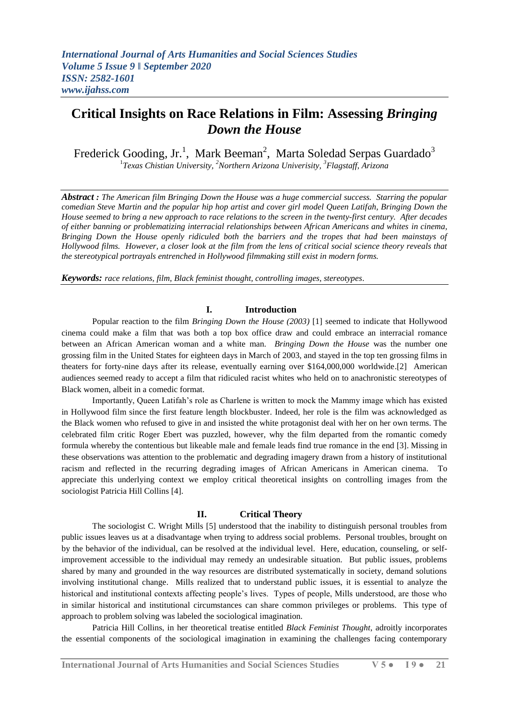Frederick Gooding, Jr.<sup>1</sup>, Mark Beeman<sup>2</sup>, Marta Soledad Serpas Guardado<sup>3</sup>

1 *Texas Chistian University, <sup>2</sup>Northern Arizona Univerisity, <sup>3</sup>Flagstaff, Arizona*

*Abstract : The American film Bringing Down the House was a huge commercial success. Starring the popular comedian Steve Martin and the popular hip hop artist and cover girl model Queen Latifah, Bringing Down the House seemed to bring a new approach to race relations to the screen in the twenty-first century. After decades of either banning or problematizing interracial relationships between African Americans and whites in cinema, Bringing Down the House openly ridiculed both the barriers and the tropes that had been mainstays of Hollywood films. However, a closer look at the film from the lens of critical social science theory reveals that the stereotypical portrayals entrenched in Hollywood filmmaking still exist in modern forms.*

*Keywords: race relations, film, Black feminist thought, controlling images, stereotypes.*

### **I. Introduction**

Popular reaction to the film *Bringing Down the House (2003)* [1] seemed to indicate that Hollywood cinema could make a film that was both a top box office draw and could embrace an interracial romance between an African American woman and a white man. *Bringing Down the House* was the number one grossing film in the United States for eighteen days in March of 2003, and stayed in the top ten grossing films in theaters for forty-nine days after its release, eventually earning over \$164,000,000 worldwide.[2] American audiences seemed ready to accept a film that ridiculed racist whites who held on to anachronistic stereotypes of Black women, albeit in a comedic format.

Importantly, Queen Latifah"s role as Charlene is written to mock the Mammy image which has existed in Hollywood film since the first feature length blockbuster. Indeed, her role is the film was acknowledged as the Black women who refused to give in and insisted the white protagonist deal with her on her own terms. The celebrated film critic Roger Ebert was puzzled, however, why the film departed from the romantic comedy formula whereby the contentious but likeable male and female leads find true romance in the end [3]. Missing in these observations was attention to the problematic and degrading imagery drawn from a history of institutional racism and reflected in the recurring degrading images of African Americans in American cinema. To appreciate this underlying context we employ critical theoretical insights on controlling images from the sociologist Patricia Hill Collins [4].

### **II. Critical Theory**

The sociologist C. Wright Mills [5] understood that the inability to distinguish personal troubles from public issues leaves us at a disadvantage when trying to address social problems. Personal troubles, brought on by the behavior of the individual, can be resolved at the individual level. Here, education, counseling, or selfimprovement accessible to the individual may remedy an undesirable situation. But public issues, problems shared by many and grounded in the way resources are distributed systematically in society, demand solutions involving institutional change. Mills realized that to understand public issues, it is essential to analyze the historical and institutional contexts affecting people's lives. Types of people, Mills understood, are those who in similar historical and institutional circumstances can share common privileges or problems. This type of approach to problem solving was labeled the sociological imagination.

Patricia Hill Collins, in her theoretical treatise entitled *Black Feminist Thought*, adroitly incorporates the essential components of the sociological imagination in examining the challenges facing contemporary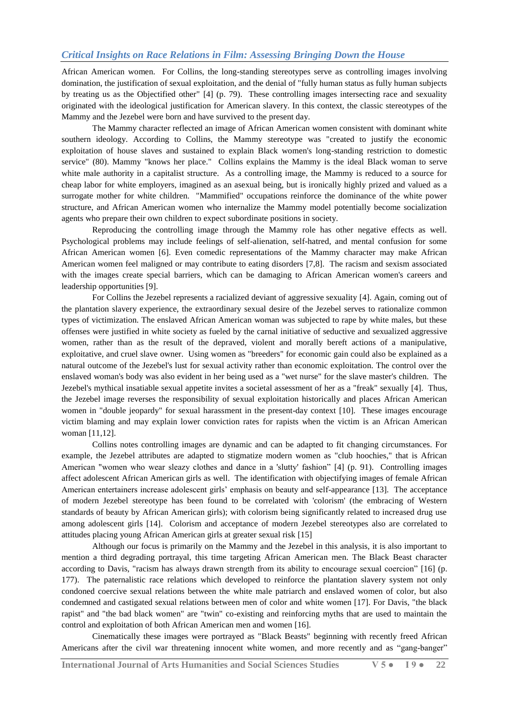African American women. For Collins, the long-standing stereotypes serve as controlling images involving domination, the justification of sexual exploitation, and the denial of "fully human status as fully human subjects by treating us as the Objectified other" [4] (p. 79). These controlling images intersecting race and sexuality originated with the ideological justification for American slavery. In this context, the classic stereotypes of the Mammy and the Jezebel were born and have survived to the present day.

The Mammy character reflected an image of African American women consistent with dominant white southern ideology. According to Collins, the Mammy stereotype was "created to justify the economic exploitation of house slaves and sustained to explain Black women's long-standing restriction to domestic service" (80). Mammy "knows her place." Collins explains the Mammy is the ideal Black woman to serve white male authority in a capitalist structure. As a controlling image, the Mammy is reduced to a source for cheap labor for white employers, imagined as an asexual being, but is ironically highly prized and valued as a surrogate mother for white children. "Mammified" occupations reinforce the dominance of the white power structure, and African American women who internalize the Mammy model potentially become socialization agents who prepare their own children to expect subordinate positions in society.

Reproducing the controlling image through the Mammy role has other negative effects as well. Psychological problems may include feelings of self-alienation, self-hatred, and mental confusion for some African American women [6]. Even comedic representations of the Mammy character may make African American women feel maligned or may contribute to eating disorders [7,8]. The racism and sexism associated with the images create special barriers, which can be damaging to African American women's careers and leadership opportunities [9].

For Collins the Jezebel represents a racialized deviant of aggressive sexuality [4]. Again, coming out of the plantation slavery experience, the extraordinary sexual desire of the Jezebel serves to rationalize common types of victimization. The enslaved African American woman was subjected to rape by white males, but these offenses were justified in white society as fueled by the carnal initiative of seductive and sexualized aggressive women, rather than as the result of the depraved, violent and morally bereft actions of a manipulative, exploitative, and cruel slave owner. Using women as "breeders" for economic gain could also be explained as a natural outcome of the Jezebel's lust for sexual activity rather than economic exploitation. The control over the enslaved woman's body was also evident in her being used as a "wet nurse" for the slave master's children. The Jezebel's mythical insatiable sexual appetite invites a societal assessment of her as a "freak" sexually [4]. Thus, the Jezebel image reverses the responsibility of sexual exploitation historically and places African American women in "double jeopardy" for sexual harassment in the present-day context [10]. These images encourage victim blaming and may explain lower conviction rates for rapists when the victim is an African American woman [11,12].

Collins notes controlling images are dynamic and can be adapted to fit changing circumstances. For example, the Jezebel attributes are adapted to stigmatize modern women as "club hoochies," that is African American "women who wear sleazy clothes and dance in a 'slutty' fashion" [4] (p. 91). Controlling images affect adolescent African American girls as well. The identification with objectifying images of female African American entertainers increase adolescent girls" emphasis on beauty and self-appearance [13]. The acceptance of modern Jezebel stereotype has been found to be correlated with 'colorism' (the embracing of Western standards of beauty by African American girls); with colorism being significantly related to increased drug use among adolescent girls [14]. Colorism and acceptance of modern Jezebel stereotypes also are correlated to attitudes placing young African American girls at greater sexual risk [15]

Although our focus is primarily on the Mammy and the Jezebel in this analysis, it is also important to mention a third degrading portrayal, this time targeting African American men. The Black Beast character according to Davis, "racism has always drawn strength from its ability to encourage sexual coercion" [16] (p. 177). The paternalistic race relations which developed to reinforce the plantation slavery system not only condoned coercive sexual relations between the white male patriarch and enslaved women of color, but also condemned and castigated sexual relations between men of color and white women [17]. For Davis, "the black rapist" and "the bad black women" are "twin" co-existing and reinforcing myths that are used to maintain the control and exploitation of both African American men and women [16].

Cinematically these images were portrayed as "Black Beasts" beginning with recently freed African Americans after the civil war threatening innocent white women, and more recently and as "gang-banger"

**International Journal of Arts Humanities and Social Sciences Studies V 5 ● I 9 ● 22**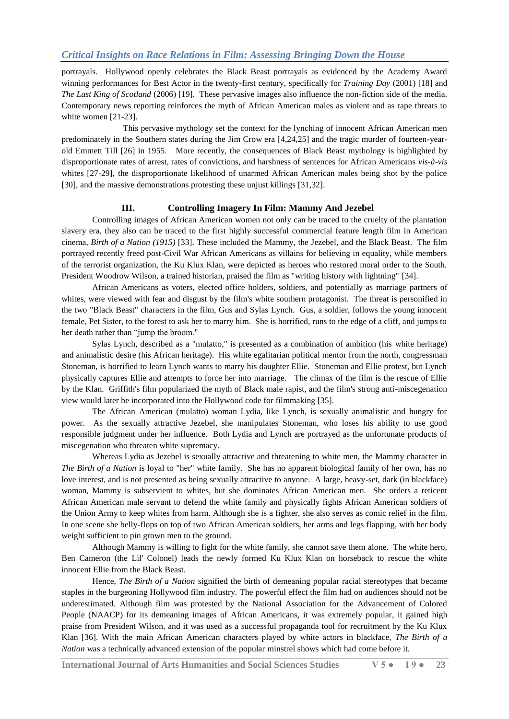portrayals. Hollywood openly celebrates the Black Beast portrayals as evidenced by the Academy Award winning performances for Best Actor in the twenty-first century, specifically for *Training Day* (2001) [18] and *The Last King of Scotland* (2006) [19]. These pervasive images also influence the non-fiction side of the media. Contemporary news reporting reinforces the myth of African American males as violent and as rape threats to white women [21-23].

This pervasive mythology set the context for the lynching of innocent African American men predominately in the Southern states during the Jim Crow era [4,24,25] and the tragic murder of fourteen-yearold Emmett Till [26] in 1955. More recently, the consequences of Black Beast mythology is highlighted by disproportionate rates of arrest, rates of convictions, and harshness of sentences for African Americans *vis-à-vis*  whites [27-29], the disproportionate likelihood of unarmed African American males being shot by the police [30], and the massive demonstrations protesting these unjust killings [31,32].

### **III. Controlling Imagery In Film: Mammy And Jezebel**

Controlling images of African American women not only can be traced to the cruelty of the plantation slavery era, they also can be traced to the first highly successful commercial feature length film in American cinema, *Birth of a Nation (1915)* [33]. These included the Mammy, the Jezebel, and the Black Beast. The film portrayed recently freed post-Civil War African Americans as villains for believing in equality, while members of the terrorist organization, the Ku Klux Klan, were depicted as heroes who restored moral order to the South. President Woodrow Wilson, a trained historian, praised the film as "writing history with lightning" [34].

African Americans as voters, elected office holders, soldiers, and potentially as marriage partners of whites, were viewed with fear and disgust by the film's white southern protagonist. The threat is personified in the two "Black Beast" characters in the film, Gus and Sylas Lynch. Gus, a soldier, follows the young innocent female, Pet Sister, to the forest to ask her to marry him. She is horrified, runs to the edge of a cliff, and jumps to her death rather than "jump the broom."

Sylas Lynch, described as a "mulatto," is presented as a combination of ambition (his white heritage) and animalistic desire (his African heritage). His white egalitarian political mentor from the north, congressman Stoneman, is horrified to learn Lynch wants to marry his daughter Ellie. Stoneman and Ellie protest, but Lynch physically captures Ellie and attempts to force her into marriage. The climax of the film is the rescue of Ellie by the Klan. Griffith's film popularized the myth of Black male rapist, and the film's strong anti-miscegenation view would later be incorporated into the Hollywood code for filmmaking [35].

The African American (mulatto) woman Lydia, like Lynch, is sexually animalistic and hungry for power. As the sexually attractive Jezebel, she manipulates Stoneman, who loses his ability to use good responsible judgment under her influence. Both Lydia and Lynch are portrayed as the unfortunate products of miscegenation who threaten white supremacy.

Whereas Lydia as Jezebel is sexually attractive and threatening to white men, the Mammy character in *The Birth of a Nation* is loyal to "her" white family. She has no apparent biological family of her own, has no love interest, and is not presented as being sexually attractive to anyone. A large, heavy-set, dark (in blackface) woman, Mammy is subservient to whites, but she dominates African American men. She orders a reticent African American male servant to defend the white family and physically fights African American soldiers of the Union Army to keep whites from harm. Although she is a fighter, she also serves as comic relief in the film. In one scene she belly-flops on top of two African American soldiers, her arms and legs flapping, with her body weight sufficient to pin grown men to the ground.

Although Mammy is willing to fight for the white family, she cannot save them alone. The white hero, Ben Cameron (the Lil' Colonel) leads the newly formed Ku Klux Klan on horseback to rescue the white innocent Ellie from the Black Beast.

Hence, *The Birth of a Nation* signified the birth of demeaning popular racial stereotypes that became staples in the burgeoning Hollywood film industry. The powerful effect the film had on audiences should not be underestimated. Although film was protested by the National Association for the Advancement of Colored People (NAACP) for its demeaning images of African Americans, it was extremely popular, it gained high praise from President Wilson, and it was used as a successful propaganda tool for recruitment by the Ku Klux Klan [36]. With the main African American characters played by white actors in blackface, *The Birth of a Nation* was a technically advanced extension of the popular minstrel shows which had come before it.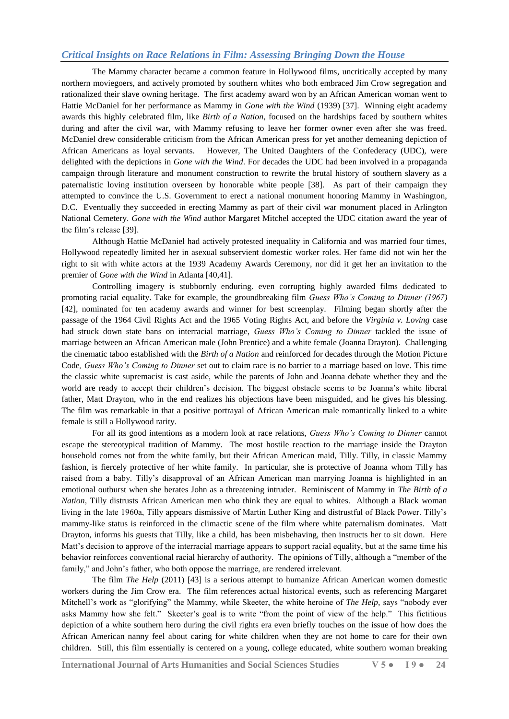The Mammy character became a common feature in Hollywood films, uncritically accepted by many northern moviegoers, and actively promoted by southern whites who both embraced Jim Crow segregation and rationalized their slave owning heritage. The first academy award won by an African American woman went to Hattie McDaniel for her performance as Mammy in *Gone with the Wind* (1939) [37]. Winning eight academy awards this highly celebrated film, like *Birth of a Nation*, focused on the hardships faced by southern whites during and after the civil war, with Mammy refusing to leave her former owner even after she was freed. McDaniel drew considerable criticism from the African American press for yet another demeaning depiction of African Americans as loyal servants. However, The United Daughters of the Confederacy (UDC), were delighted with the depictions in *Gone with the Wind*. For decades the UDC had been involved in a propaganda campaign through literature and monument construction to rewrite the brutal history of southern slavery as a paternalistic loving institution overseen by honorable white people [38]. As part of their campaign they attempted to convince the U.S. Government to erect a national monument honoring Mammy in Washington, D.C. Eventually they succeeded in erecting Mammy as part of their civil war monument placed in Arlington National Cemetery. *Gone with the Wind* author Margaret Mitchel accepted the UDC citation award the year of the film"s release [39].

Although Hattie McDaniel had actively protested inequality in California and was married four times, Hollywood repeatedly limited her in asexual subservient domestic worker roles. Her fame did not win her the right to sit with white actors at the 1939 Academy Awards Ceremony, nor did it get her an invitation to the premier of *Gone with the Wind* in Atlanta [40,41].

Controlling imagery is stubbornly enduring. even corrupting highly awarded films dedicated to promoting racial equality. Take for example, the groundbreaking film *Guess Who's Coming to Dinner (1967)*  [42]*,* nominated for ten academy awards and winner for best screenplay. Filming began shortly after the passage of the 1964 Civil Rights Act and the 1965 Voting Rights Act, and before the *Virginia v. Loving* case had struck down state bans on interracial marriage, *Guess Who's Coming to Dinner* tackled the issue of marriage between an African American male (John Prentice) and a white female (Joanna Drayton). Challenging the cinematic taboo established with the *Birth of a Nation* and reinforced for decades through the Motion Picture Code*, Guess Who's Coming to Dinner* set out to claim race is no barrier to a marriage based on love. This time the classic white supremacist is cast aside, while the parents of John and Joanna debate whether they and the world are ready to accept their children"s decision. The biggest obstacle seems to be Joanna"s white liberal father, Matt Drayton, who in the end realizes his objections have been misguided, and he gives his blessing. The film was remarkable in that a positive portrayal of African American male romantically linked to a white female is still a Hollywood rarity.

For all its good intentions as a modern look at race relations, *Guess Who's Coming to Dinner* cannot escape the stereotypical tradition of Mammy. The most hostile reaction to the marriage inside the Drayton household comes not from the white family, but their African American maid, Tilly. Tilly, in classic Mammy fashion, is fiercely protective of her white family. In particular, she is protective of Joanna whom Tilly has raised from a baby. Tilly"s disapproval of an African American man marrying Joanna is highlighted in an emotional outburst when she berates John as a threatening intruder. Reminiscent of Mammy in *The Birth of a Nation,* Tilly distrusts African American men who think they are equal to whites. Although a Black woman living in the late 1960a, Tilly appears dismissive of Martin Luther King and distrustful of Black Power. Tilly"s mammy-like status is reinforced in the climactic scene of the film where white paternalism dominates. Matt Drayton, informs his guests that Tilly, like a child, has been misbehaving, then instructs her to sit down. Here Matt's decision to approve of the interracial marriage appears to support racial equality, but at the same time his behavior reinforces conventional racial hierarchy of authority. The opinions of Tilly, although a "member of the family," and John"s father, who both oppose the marriage, are rendered irrelevant.

The film *The Help* (2011) [43] is a serious attempt to humanize African American women domestic workers during the Jim Crow era. The film references actual historical events, such as referencing Margaret Mitchell"s work as "glorifying" the Mammy, while Skeeter, the white heroine of *The Help,* says "nobody ever asks Mammy how she felt." Skeeter's goal is to write "from the point of view of the help." This fictitious depiction of a white southern hero during the civil rights era even briefly touches on the issue of how does the African American nanny feel about caring for white children when they are not home to care for their own children. Still, this film essentially is centered on a young, college educated, white southern woman breaking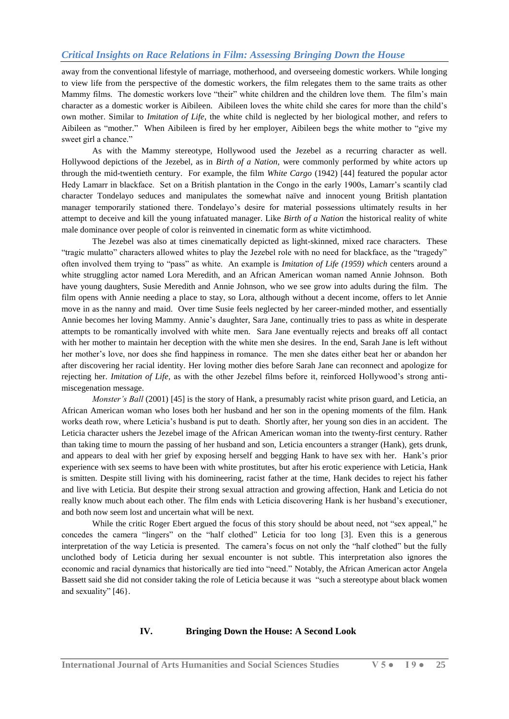away from the conventional lifestyle of marriage, motherhood, and overseeing domestic workers. While longing to view life from the perspective of the domestic workers, the film relegates them to the same traits as other Mammy films. The domestic workers love "their" white children and the children love them. The film"s main character as a domestic worker is Aibileen. Aibileen loves the white child she cares for more than the child"s own mother. Similar to *Imitation of Life*, the white child is neglected by her biological mother, and refers to Aibileen as "mother." When Aibileen is fired by her employer, Aibileen begs the white mother to "give my sweet girl a chance."

As with the Mammy stereotype, Hollywood used the Jezebel as a recurring character as well. Hollywood depictions of the Jezebel, as in *Birth of a Nation,* were commonly performed by white actors up through the mid-twentieth century. For example, the film *White Cargo* (1942) [44] featured the popular actor Hedy Lamarr in blackface. Set on a British plantation in the Congo in the early 1900s, Lamarr"s scantily clad character Tondelayo seduces and manipulates the somewhat naïve and innocent young British plantation manager temporarily stationed there. Tondelayo"s desire for material possessions ultimately results in her attempt to deceive and kill the young infatuated manager. Like *Birth of a Nation* the historical reality of white male dominance over people of color is reinvented in cinematic form as white victimhood.

The Jezebel was also at times cinematically depicted as light-skinned, mixed race characters. These "tragic mulatto" characters allowed whites to play the Jezebel role with no need for blackface, as the "tragedy" often involved them trying to "pass" as white. An example is *Imitation of Life (1959) which* centers around a white struggling actor named Lora Meredith, and an African American woman named Annie Johnson. Both have young daughters, Susie Meredith and Annie Johnson, who we see grow into adults during the film. The film opens with Annie needing a place to stay, so Lora, although without a decent income, offers to let Annie move in as the nanny and maid. Over time Susie feels neglected by her career-minded mother, and essentially Annie becomes her loving Mammy. Annie"s daughter, Sara Jane, continually tries to pass as white in desperate attempts to be romantically involved with white men. Sara Jane eventually rejects and breaks off all contact with her mother to maintain her deception with the white men she desires. In the end, Sarah Jane is left without her mother"s love, nor does she find happiness in romance. The men she dates either beat her or abandon her after discovering her racial identity. Her loving mother dies before Sarah Jane can reconnect and apologize for rejecting her. *Imitation of Life,* as with the other Jezebel films before it, reinforced Hollywood"s strong antimiscegenation message.

*Monster's Ball* (2001) [45] is the story of Hank, a presumably racist white prison guard, and Leticia, an African American woman who loses both her husband and her son in the opening moments of the film. Hank works death row, where Leticia"s husband is put to death. Shortly after, her young son dies in an accident. The Leticia character ushers the Jezebel image of the African American woman into the twenty-first century. Rather than taking time to mourn the passing of her husband and son, Leticia encounters a stranger (Hank), gets drunk, and appears to deal with her grief by exposing herself and begging Hank to have sex with her. Hank"s prior experience with sex seems to have been with white prostitutes, but after his erotic experience with Leticia, Hank is smitten. Despite still living with his domineering, racist father at the time, Hank decides to reject his father and live with Leticia. But despite their strong sexual attraction and growing affection, Hank and Leticia do not really know much about each other. The film ends with Leticia discovering Hank is her husband"s executioner, and both now seem lost and uncertain what will be next.

While the critic Roger Ebert argued the focus of this story should be about need, not "sex appeal," he concedes the camera "lingers" on the "half clothed" Leticia for too long [3]. Even this is a generous interpretation of the way Leticia is presented. The camera"s focus on not only the "half clothed" but the fully unclothed body of Leticia during her sexual encounter is not subtle. This interpretation also ignores the economic and racial dynamics that historically are tied into "need." Notably, the African American actor Angela Bassett said she did not consider taking the role of Leticia because it was "such a stereotype about black women and sexuality" [46}.

### **IV. Bringing Down the House: A Second Look**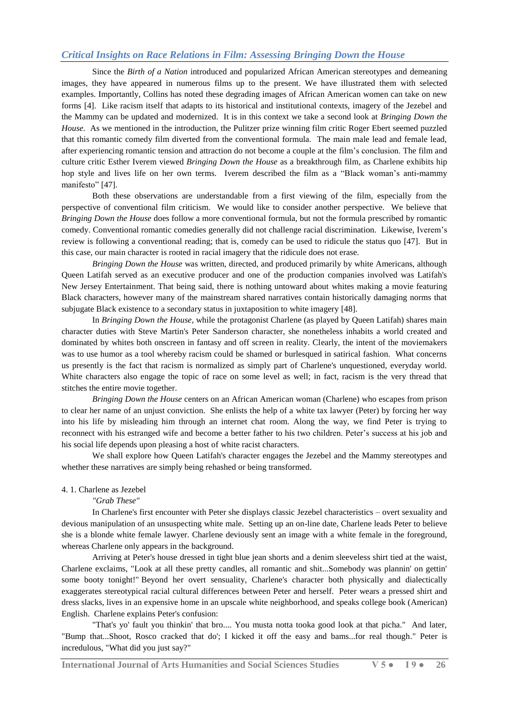Since the *Birth of a Nation* introduced and popularized African American stereotypes and demeaning images, they have appeared in numerous films up to the present. We have illustrated them with selected examples. Importantly, Collins has noted these degrading images of African American women can take on new forms [4]. Like racism itself that adapts to its historical and institutional contexts, imagery of the Jezebel and the Mammy can be updated and modernized. It is in this context we take a second look at *Bringing Down the House.* As we mentioned in the introduction, the Pulitzer prize winning film critic Roger Ebert seemed puzzled that this romantic comedy film diverted from the conventional formula. The main male lead and female lead, after experiencing romantic tension and attraction do not become a couple at the film"s conclusion. The film and culture critic Esther Iverem viewed *Bringing Down the House* as a breakthrough film, as Charlene exhibits hip hop style and lives life on her own terms. Iverem described the film as a "Black woman's anti-mammy manifesto" [47].

Both these observations are understandable from a first viewing of the film, especially from the perspective of conventional film criticism. We would like to consider another perspective. We believe that *Bringing Down the House* does follow a more conventional formula, but not the formula prescribed by romantic comedy. Conventional romantic comedies generally did not challenge racial discrimination. Likewise, Iverem"s review is following a conventional reading; that is, comedy can be used to ridicule the status quo [47]. But in this case, our main character is rooted in racial imagery that the ridicule does not erase.

*Bringing Down the House* was written, directed, and produced primarily by white Americans, although Queen Latifah served as an executive producer and one of the production companies involved was Latifah's New Jersey Entertainment. That being said, there is nothing untoward about whites making a movie featuring Black characters, however many of the mainstream shared narratives contain historically damaging norms that subjugate Black existence to a secondary status in juxtaposition to white imagery [48].

In *Bringing Down the House*, while the protagonist Charlene (as played by Queen Latifah) shares main character duties with Steve Martin's Peter Sanderson character, she nonetheless inhabits a world created and dominated by whites both onscreen in fantasy and off screen in reality. Clearly, the intent of the moviemakers was to use humor as a tool whereby racism could be shamed or burlesqued in satirical fashion. What concerns us presently is the fact that racism is normalized as simply part of Charlene's unquestioned, everyday world. White characters also engage the topic of race on some level as well; in fact, racism is the very thread that stitches the entire movie together.

*Bringing Down the House* centers on an African American woman (Charlene) who escapes from prison to clear her name of an unjust conviction. She enlists the help of a white tax lawyer (Peter) by forcing her way into his life by misleading him through an internet chat room. Along the way, we find Peter is trying to reconnect with his estranged wife and become a better father to his two children. Peter"s success at his job and his social life depends upon pleasing a host of white racist characters.

We shall explore how Queen Latifah's character engages the Jezebel and the Mammy stereotypes and whether these narratives are simply being rehashed or being transformed.

### 4. 1. Charlene as Jezebel

*"Grab These"*

In Charlene's first encounter with Peter she displays classic Jezebel characteristics – overt sexuality and devious manipulation of an unsuspecting white male. Setting up an on-line date, Charlene leads Peter to believe she is a blonde white female lawyer. Charlene deviously sent an image with a white female in the foreground, whereas Charlene only appears in the background.

Arriving at Peter's house dressed in tight blue jean shorts and a denim sleeveless shirt tied at the waist, Charlene exclaims, "Look at all these pretty candles, all romantic and shit...Somebody was plannin' on gettin' some booty tonight!" Beyond her overt sensuality, Charlene's character both physically and dialectically exaggerates stereotypical racial cultural differences between Peter and herself. Peter wears a pressed shirt and dress slacks, lives in an expensive home in an upscale white neighborhood, and speaks college book (American) English. Charlene explains Peter's confusion:

"That's yo' fault you thinkin' that bro.... You musta notta tooka good look at that picha." And later, "Bump that...Shoot, Rosco cracked that do'; I kicked it off the easy and bams...for real though." Peter is incredulous, "What did you just say?"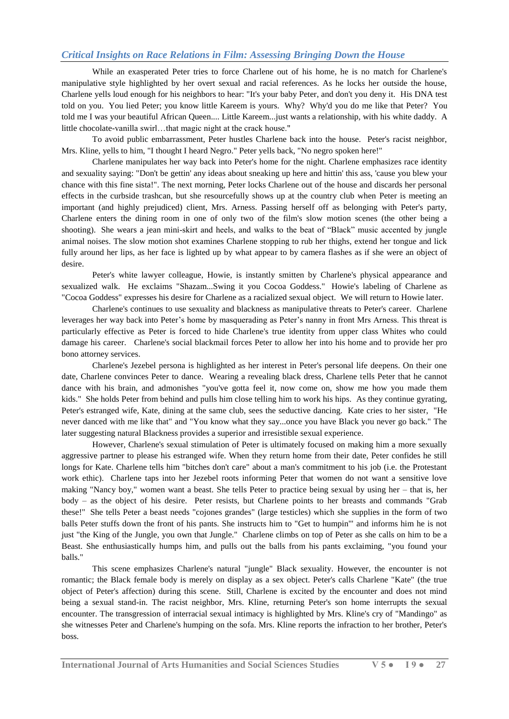While an exasperated Peter tries to force Charlene out of his home, he is no match for Charlene's manipulative style highlighted by her overt sexual and racial references. As he locks her outside the house, Charlene yells loud enough for his neighbors to hear: "It's your baby Peter, and don't you deny it. His DNA test told on you. You lied Peter; you know little Kareem is yours. Why? Why'd you do me like that Peter? You told me I was your beautiful African Queen.... Little Kareem...just wants a relationship, with his white daddy. A little chocolate-vanilla swirl…that magic night at the crack house."

To avoid public embarrassment, Peter hustles Charlene back into the house. Peter's racist neighbor, Mrs. Kline, yells to him, "I thought I heard Negro." Peter yells back, "No negro spoken here!"

Charlene manipulates her way back into Peter's home for the night. Charlene emphasizes race identity and sexuality saying: "Don't be gettin' any ideas about sneaking up here and hittin' this ass, 'cause you blew your chance with this fine sista!". The next morning, Peter locks Charlene out of the house and discards her personal effects in the curbside trashcan, but she resourcefully shows up at the country club when Peter is meeting an important (and highly prejudiced) client, Mrs. Arness. Passing herself off as belonging with Peter's party, Charlene enters the dining room in one of only two of the film's slow motion scenes (the other being a shooting). She wears a jean mini-skirt and heels, and walks to the beat of "Black" music accented by jungle animal noises. The slow motion shot examines Charlene stopping to rub her thighs, extend her tongue and lick fully around her lips, as her face is lighted up by what appear to by camera flashes as if she were an object of desire.

Peter's white lawyer colleague, Howie, is instantly smitten by Charlene's physical appearance and sexualized walk. He exclaims "Shazam...Swing it you Cocoa Goddess." Howie's labeling of Charlene as "Cocoa Goddess" expresses his desire for Charlene as a racialized sexual object. We will return to Howie later.

Charlene's continues to use sexuality and blackness as manipulative threats to Peter's career. Charlene leverages her way back into Peter"s home by masquerading as Peter"s nanny in front Mrs Arness. This threat is particularly effective as Peter is forced to hide Charlene's true identity from upper class Whites who could damage his career. Charlene's social blackmail forces Peter to allow her into his home and to provide her pro bono attorney services.

Charlene's Jezebel persona is highlighted as her interest in Peter's personal life deepens. On their one date, Charlene convinces Peter to dance. Wearing a revealing black dress, Charlene tells Peter that he cannot dance with his brain, and admonishes "you've gotta feel it, now come on, show me how you made them kids." She holds Peter from behind and pulls him close telling him to work his hips. As they continue gyrating, Peter's estranged wife, Kate, dining at the same club, sees the seductive dancing. Kate cries to her sister, "He never danced with me like that" and "You know what they say...once you have Black you never go back." The later suggesting natural Blackness provides a superior and irresistible sexual experience.

However, Charlene's sexual stimulation of Peter is ultimately focused on making him a more sexually aggressive partner to please his estranged wife. When they return home from their date, Peter confides he still longs for Kate. Charlene tells him "bitches don't care" about a man's commitment to his job (i.e. the Protestant work ethic). Charlene taps into her Jezebel roots informing Peter that women do not want a sensitive love making "Nancy boy," women want a beast. She tells Peter to practice being sexual by using her – that is, her body – as the object of his desire. Peter resists, but Charlene points to her breasts and commands "Grab these!" She tells Peter a beast needs "cojones grandes" (large testicles) which she supplies in the form of two balls Peter stuffs down the front of his pants. She instructs him to "Get to humpin'" and informs him he is not just "the King of the Jungle, you own that Jungle." Charlene climbs on top of Peter as she calls on him to be a Beast. She enthusiastically humps him, and pulls out the balls from his pants exclaiming, "you found your balls."

This scene emphasizes Charlene's natural "jungle" Black sexuality. However, the encounter is not romantic; the Black female body is merely on display as a sex object. Peter's calls Charlene "Kate" (the true object of Peter's affection) during this scene. Still, Charlene is excited by the encounter and does not mind being a sexual stand-in. The racist neighbor, Mrs. Kline, returning Peter's son home interrupts the sexual encounter. The transgression of interracial sexual intimacy is highlighted by Mrs. Kline's cry of "Mandingo" as she witnesses Peter and Charlene's humping on the sofa. Mrs. Kline reports the infraction to her brother, Peter's boss.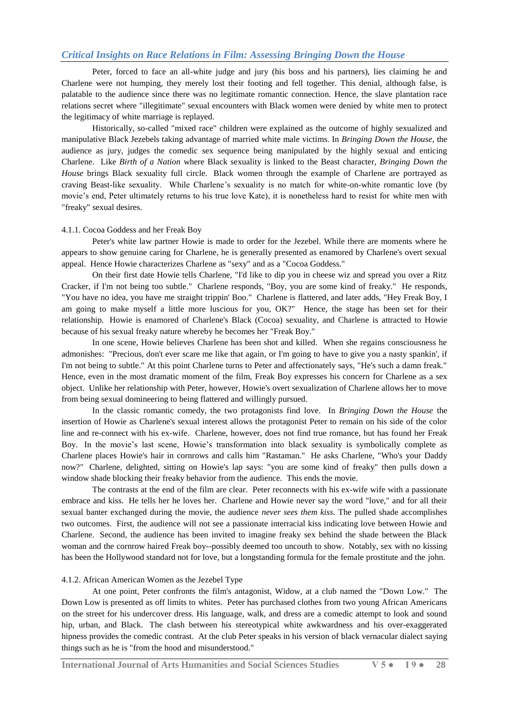Peter, forced to face an all-white judge and jury (his boss and his partners), lies claiming he and Charlene were not humping, they merely lost their footing and fell together. This denial, although false, is palatable to the audience since there was no legitimate romantic connection. Hence, the slave plantation race relations secret where "illegitimate" sexual encounters with Black women were denied by white men to protect the legitimacy of white marriage is replayed.

Historically, so-called "mixed race" children were explained as the outcome of highly sexualized and manipulative Black Jezebels taking advantage of married white male victims. In *Bringing Down the House*, the audience as jury, judges the comedic sex sequence being manipulated by the highly sexual and enticing Charlene. Like *Birth of a Nation* where Black sexuality is linked to the Beast character, *Bringing Down the House* brings Black sexuality full circle. Black women through the example of Charlene are portrayed as craving Beast-like sexuality. While Charlene"s sexuality is no match for white-on-white romantic love (by movie's end, Peter ultimately returns to his true love Kate), it is nonetheless hard to resist for white men with "freaky" sexual desires.

#### 4.1.1. Cocoa Goddess and her Freak Boy

Peter's white law partner Howie is made to order for the Jezebel. While there are moments where he appears to show genuine caring for Charlene, he is generally presented as enamored by Charlene's overt sexual appeal. Hence Howie characterizes Charlene as "sexy" and as a "Cocoa Goddess."

On their first date Howie tells Charlene, "I'd like to dip you in cheese wiz and spread you over a Ritz Cracker, if I'm not being too subtle." Charlene responds, "Boy, you are some kind of freaky." He responds, "You have no idea, you have me straight trippin' Boo." Charlene is flattered, and later adds, "Hey Freak Boy, I am going to make myself a little more luscious for you, OK?" Hence, the stage has been set for their relationship. Howie is enamored of Charlene's Black (Cocoa) sexuality, and Charlene is attracted to Howie because of his sexual freaky nature whereby he becomes her "Freak Boy."

In one scene, Howie believes Charlene has been shot and killed. When she regains consciousness he admonishes: "Precious, don't ever scare me like that again, or I'm going to have to give you a nasty spankin', if I'm not being to subtle." At this point Charlene turns to Peter and affectionately says, "He's such a damn freak." Hence, even in the most dramatic moment of the film, Freak Boy expresses his concern for Charlene as a sex object. Unlike her relationship with Peter, however, Howie's overt sexualization of Charlene allows her to move from being sexual domineering to being flattered and willingly pursued.

In the classic romantic comedy, the two protagonists find love. In *Bringing Down the House* the insertion of Howie as Charlene's sexual interest allows the protagonist Peter to remain on his side of the color line and re-connect with his ex-wife. Charlene, however, does not find true romance, but has found her Freak Boy. In the movie"s last scene, Howie"s transformation into black sexuality is symbolically complete as Charlene places Howie's hair in cornrows and calls him "Rastaman." He asks Charlene, "Who's your Daddy now?" Charlene, delighted, sitting on Howie's lap says: "you are some kind of freaky" then pulls down a window shade blocking their freaky behavior from the audience. This ends the movie.

The contrasts at the end of the film are clear. Peter reconnects with his ex-wife wife with a passionate embrace and kiss. He tells her he loves her. Charlene and Howie never say the word "love," and for all their sexual banter exchanged during the movie, the audience *never sees them kiss*. The pulled shade accomplishes two outcomes. First, the audience will not see a passionate interracial kiss indicating love between Howie and Charlene. Second, the audience has been invited to imagine freaky sex behind the shade between the Black woman and the cornrow haired Freak boy--possibly deemed too uncouth to show. Notably, sex with no kissing has been the Hollywood standard not for love, but a longstanding formula for the female prostitute and the john.

#### 4.1.2. African American Women as the Jezebel Type

At one point, Peter confronts the film's antagonist, Widow, at a club named the "Down Low." The Down Low is presented as off limits to whites. Peter has purchased clothes from two young African Americans on the street for his undercover dress. His language, walk, and dress are a comedic attempt to look and sound hip, urban, and Black. The clash between his stereotypical white awkwardness and his over-exaggerated hipness provides the comedic contrast. At the club Peter speaks in his version of black vernacular dialect saying things such as he is "from the hood and misunderstood."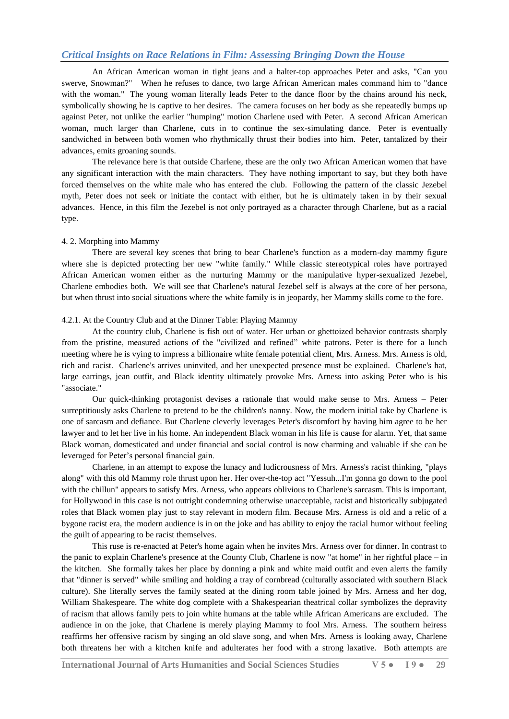An African American woman in tight jeans and a halter-top approaches Peter and asks, "Can you swerve, Snowman?" When he refuses to dance, two large African American males command him to "dance with the woman." The young woman literally leads Peter to the dance floor by the chains around his neck, symbolically showing he is captive to her desires. The camera focuses on her body as she repeatedly bumps up against Peter, not unlike the earlier "humping" motion Charlene used with Peter. A second African American woman, much larger than Charlene, cuts in to continue the sex-simulating dance. Peter is eventually sandwiched in between both women who rhythmically thrust their bodies into him. Peter, tantalized by their advances, emits groaning sounds.

The relevance here is that outside Charlene, these are the only two African American women that have any significant interaction with the main characters. They have nothing important to say, but they both have forced themselves on the white male who has entered the club. Following the pattern of the classic Jezebel myth, Peter does not seek or initiate the contact with either, but he is ultimately taken in by their sexual advances. Hence, in this film the Jezebel is not only portrayed as a character through Charlene, but as a racial type.

#### 4. 2. Morphing into Mammy

There are several key scenes that bring to bear Charlene's function as a modern-day mammy figure where she is depicted protecting her new "white family." While classic stereotypical roles have portrayed African American women either as the nurturing Mammy or the manipulative hyper-sexualized Jezebel, Charlene embodies both. We will see that Charlene's natural Jezebel self is always at the core of her persona, but when thrust into social situations where the white family is in jeopardy, her Mammy skills come to the fore.

#### 4.2.1. At the Country Club and at the Dinner Table: Playing Mammy

At the country club, Charlene is fish out of water. Her urban or ghettoized behavior contrasts sharply from the pristine, measured actions of the "civilized and refined" white patrons. Peter is there for a lunch meeting where he is vying to impress a billionaire white female potential client, Mrs. Arness. Mrs. Arness is old, rich and racist. Charlene's arrives uninvited, and her unexpected presence must be explained. Charlene's hat, large earrings, jean outfit, and Black identity ultimately provoke Mrs. Arness into asking Peter who is his "associate."

Our quick-thinking protagonist devises a rationale that would make sense to Mrs. Arness – Peter surreptitiously asks Charlene to pretend to be the children's nanny. Now, the modern initial take by Charlene is one of sarcasm and defiance. But Charlene cleverly leverages Peter's discomfort by having him agree to be her lawyer and to let her live in his home. An independent Black woman in his life is cause for alarm. Yet, that same Black woman, domesticated and under financial and social control is now charming and valuable if she can be leveraged for Peter"s personal financial gain.

Charlene, in an attempt to expose the lunacy and ludicrousness of Mrs. Arness's racist thinking, "plays along" with this old Mammy role thrust upon her. Her over-the-top act "Yessuh...I'm gonna go down to the pool with the chillun" appears to satisfy Mrs. Arness, who appears oblivious to Charlene's sarcasm. This is important, for Hollywood in this case is not outright condemning otherwise unacceptable, racist and historically subjugated roles that Black women play just to stay relevant in modern film. Because Mrs. Arness is old and a relic of a bygone racist era, the modern audience is in on the joke and has ability to enjoy the racial humor without feeling the guilt of appearing to be racist themselves.

This ruse is re-enacted at Peter's home again when he invites Mrs. Arness over for dinner. In contrast to the panic to explain Charlene's presence at the County Club, Charlene is now "at home" in her rightful place – in the kitchen. She formally takes her place by donning a pink and white maid outfit and even alerts the family that "dinner is served" while smiling and holding a tray of cornbread (culturally associated with southern Black culture). She literally serves the family seated at the dining room table joined by Mrs. Arness and her dog, William Shakespeare. The white dog complete with a Shakespearian theatrical collar symbolizes the depravity of racism that allows family pets to join white humans at the table while African Americans are excluded. The audience in on the joke, that Charlene is merely playing Mammy to fool Mrs. Arness. The southern heiress reaffirms her offensive racism by singing an old slave song, and when Mrs. Arness is looking away, Charlene both threatens her with a kitchen knife and adulterates her food with a strong laxative. Both attempts are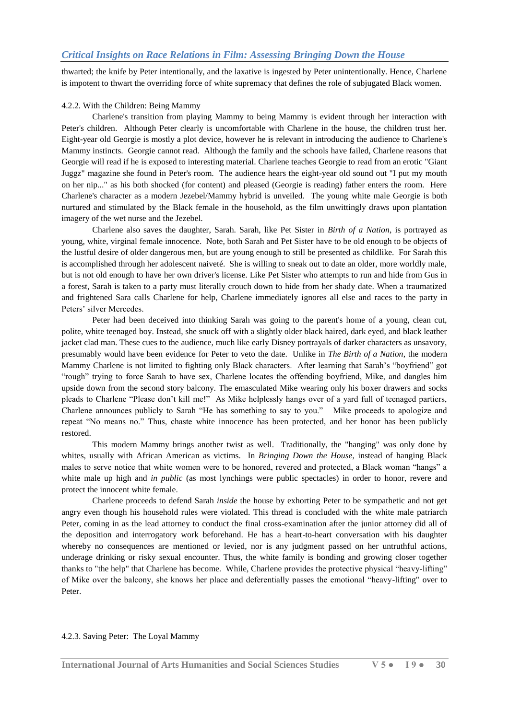thwarted; the knife by Peter intentionally, and the laxative is ingested by Peter unintentionally. Hence, Charlene is impotent to thwart the overriding force of white supremacy that defines the role of subjugated Black women.

#### 4.2.2*.* With the Children: Being Mammy

Charlene's transition from playing Mammy to being Mammy is evident through her interaction with Peter's children. Although Peter clearly is uncomfortable with Charlene in the house, the children trust her. Eight-year old Georgie is mostly a plot device, however he is relevant in introducing the audience to Charlene's Mammy instincts. Georgie cannot read. Although the family and the schools have failed, Charlene reasons that Georgie will read if he is exposed to interesting material. Charlene teaches Georgie to read from an erotic "Giant Juggz" magazine she found in Peter's room. The audience hears the eight-year old sound out "I put my mouth on her nip..." as his both shocked (for content) and pleased (Georgie is reading) father enters the room. Here Charlene's character as a modern Jezebel/Mammy hybrid is unveiled. The young white male Georgie is both nurtured and stimulated by the Black female in the household, as the film unwittingly draws upon plantation imagery of the wet nurse and the Jezebel.

Charlene also saves the daughter, Sarah. Sarah, like Pet Sister in *Birth of a Nation*, is portrayed as young, white, virginal female innocence. Note, both Sarah and Pet Sister have to be old enough to be objects of the lustful desire of older dangerous men, but are young enough to still be presented as childlike. For Sarah this is accomplished through her adolescent naiveté. She is willing to sneak out to date an older, more worldly male, but is not old enough to have her own driver's license. Like Pet Sister who attempts to run and hide from Gus in a forest, Sarah is taken to a party must literally crouch down to hide from her shady date. When a traumatized and frightened Sara calls Charlene for help, Charlene immediately ignores all else and races to the party in Peters' silver Mercedes.

Peter had been deceived into thinking Sarah was going to the parent's home of a young, clean cut, polite, white teenaged boy. Instead, she snuck off with a slightly older black haired, dark eyed, and black leather jacket clad man. These cues to the audience, much like early Disney portrayals of darker characters as unsavory, presumably would have been evidence for Peter to veto the date. Unlike in *The Birth of a Nation*, the modern Mammy Charlene is not limited to fighting only Black characters. After learning that Sarah"s "boyfriend" got "rough" trying to force Sarah to have sex, Charlene locates the offending boyfriend, Mike, and dangles him upside down from the second story balcony. The emasculated Mike wearing only his boxer drawers and socks pleads to Charlene "Please don"t kill me!" As Mike helplessly hangs over of a yard full of teenaged partiers, Charlene announces publicly to Sarah "He has something to say to you." Mike proceeds to apologize and repeat "No means no." Thus, chaste white innocence has been protected, and her honor has been publicly restored.

This modern Mammy brings another twist as well. Traditionally, the "hanging" was only done by whites, usually with African American as victims. In *Bringing Down the House*, instead of hanging Black males to serve notice that white women were to be honored, revered and protected, a Black woman "hangs" a white male up high and *in public* (as most lynchings were public spectacles) in order to honor, revere and protect the innocent white female.

Charlene proceeds to defend Sarah *inside* the house by exhorting Peter to be sympathetic and not get angry even though his household rules were violated. This thread is concluded with the white male patriarch Peter, coming in as the lead attorney to conduct the final cross-examination after the junior attorney did all of the deposition and interrogatory work beforehand. He has a heart-to-heart conversation with his daughter whereby no consequences are mentioned or levied, nor is any judgment passed on her untruthful actions, underage drinking or risky sexual encounter. Thus, the white family is bonding and growing closer together thanks to "the help" that Charlene has become. While, Charlene provides the protective physical "heavy-lifting" of Mike over the balcony, she knows her place and deferentially passes the emotional "heavy-lifting" over to Peter.

#### 4.2.3. Saving Peter: The Loyal Mammy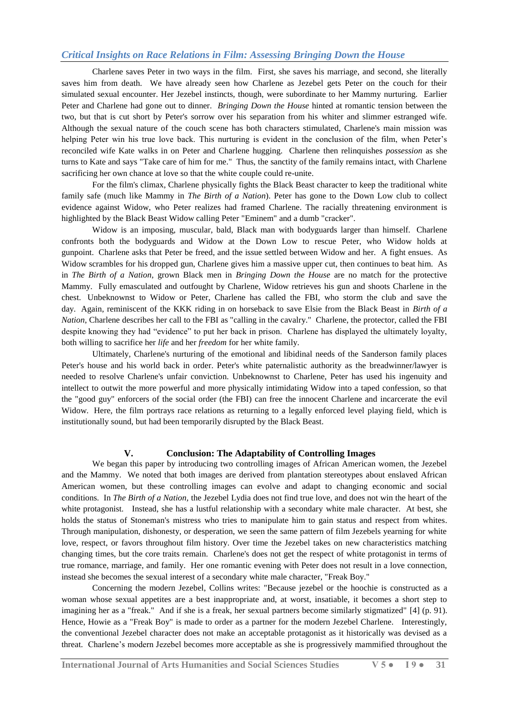Charlene saves Peter in two ways in the film. First, she saves his marriage, and second, she literally saves him from death. We have already seen how Charlene as Jezebel gets Peter on the couch for their simulated sexual encounter. Her Jezebel instincts, though, were subordinate to her Mammy nurturing. Earlier Peter and Charlene had gone out to dinner. *Bringing Down the House* hinted at romantic tension between the two, but that is cut short by Peter's sorrow over his separation from his whiter and slimmer estranged wife. Although the sexual nature of the couch scene has both characters stimulated, Charlene's main mission was helping Peter win his true love back. This nurturing is evident in the conclusion of the film, when Peter's reconciled wife Kate walks in on Peter and Charlene hugging. Charlene then relinquishes *possession* as she turns to Kate and says "Take care of him for me." Thus, the sanctity of the family remains intact, with Charlene sacrificing her own chance at love so that the white couple could re-unite.

For the film's climax, Charlene physically fights the Black Beast character to keep the traditional white family safe (much like Mammy in *The Birth of a Nation*). Peter has gone to the Down Low club to collect evidence against Widow, who Peter realizes had framed Charlene. The racially threatening environment is highlighted by the Black Beast Widow calling Peter "Eminem" and a dumb "cracker".

Widow is an imposing, muscular, bald, Black man with bodyguards larger than himself. Charlene confronts both the bodyguards and Widow at the Down Low to rescue Peter, who Widow holds at gunpoint. Charlene asks that Peter be freed, and the issue settled between Widow and her. A fight ensues. As Widow scrambles for his dropped gun, Charlene gives him a massive upper cut, then continues to beat him. As in *The Birth of a Nation,* grown Black men in *Bringing Down the House* are no match for the protective Mammy. Fully emasculated and outfought by Charlene, Widow retrieves his gun and shoots Charlene in the chest. Unbeknownst to Widow or Peter, Charlene has called the FBI, who storm the club and save the day. Again, reminiscent of the KKK riding in on horseback to save Elsie from the Black Beast in *Birth of a Nation*, Charlene describes her call to the FBI as "calling in the cavalry." Charlene, the protector, called the FBI despite knowing they had "evidence" to put her back in prison. Charlene has displayed the ultimately loyalty, both willing to sacrifice her *life* and her *freedom* for her white family.

Ultimately, Charlene's nurturing of the emotional and libidinal needs of the Sanderson family places Peter's house and his world back in order. Peter's white paternalistic authority as the breadwinner/lawyer is needed to resolve Charlene's unfair conviction. Unbeknownst to Charlene, Peter has used his ingenuity and intellect to outwit the more powerful and more physically intimidating Widow into a taped confession, so that the "good guy" enforcers of the social order (the FBI) can free the innocent Charlene and incarcerate the evil Widow. Here, the film portrays race relations as returning to a legally enforced level playing field, which is institutionally sound, but had been temporarily disrupted by the Black Beast.

#### **V. Conclusion: The Adaptability of Controlling Images**

We began this paper by introducing two controlling images of African American women, the Jezebel and the Mammy. We noted that both images are derived from plantation stereotypes about enslaved African American women, but these controlling images can evolve and adapt to changing economic and social conditions. In *The Birth of a Nation,* the Jezebel Lydia does not find true love, and does not win the heart of the white protagonist. Instead, she has a lustful relationship with a secondary white male character. At best, she holds the status of Stoneman's mistress who tries to manipulate him to gain status and respect from whites. Through manipulation, dishonesty, or desperation, we seen the same pattern of film Jezebels yearning for white love, respect, or favors throughout film history. Over time the Jezebel takes on new characteristics matching changing times, but the core traits remain. Charlene's does not get the respect of white protagonist in terms of true romance, marriage, and family. Her one romantic evening with Peter does not result in a love connection, instead she becomes the sexual interest of a secondary white male character, "Freak Boy."

Concerning the modern Jezebel, Collins writes: "Because jezebel or the hoochie is constructed as a woman whose sexual appetites are a best inappropriate and, at worst, insatiable, it becomes a short step to imagining her as a "freak." And if she is a freak, her sexual partners become similarly stigmatized" [4] (p. 91). Hence, Howie as a "Freak Boy" is made to order as a partner for the modern Jezebel Charlene. Interestingly, the conventional Jezebel character does not make an acceptable protagonist as it historically was devised as a threat. Charlene"s modern Jezebel becomes more acceptable as she is progressively mammified throughout the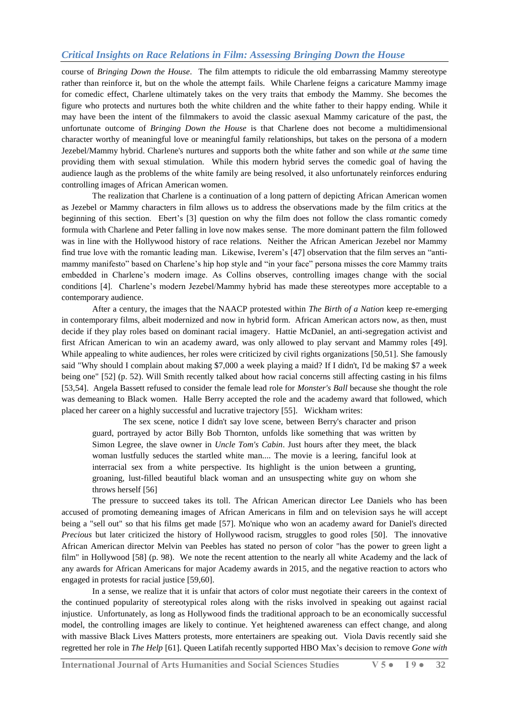course of *Bringing Down the House*. The film attempts to ridicule the old embarrassing Mammy stereotype rather than reinforce it, but on the whole the attempt fails. While Charlene feigns a caricature Mammy image for comedic effect, Charlene ultimately takes on the very traits that embody the Mammy. She becomes the figure who protects and nurtures both the white children and the white father to their happy ending. While it may have been the intent of the filmmakers to avoid the classic asexual Mammy caricature of the past, the unfortunate outcome of *Bringing Down the House* is that Charlene does not become a multidimensional character worthy of meaningful love or meaningful family relationships, but takes on the persona of a modern Jezebel/Mammy hybrid. Charlene's nurtures and supports both the white father and son while *at the same* time providing them with sexual stimulation. While this modern hybrid serves the comedic goal of having the audience laugh as the problems of the white family are being resolved, it also unfortunately reinforces enduring controlling images of African American women.

The realization that Charlene is a continuation of a long pattern of depicting African American women as Jezebel or Mammy characters in film allows us to address the observations made by the film critics at the beginning of this section. Ebert's [3] question on why the film does not follow the class romantic comedy formula with Charlene and Peter falling in love now makes sense. The more dominant pattern the film followed was in line with the Hollywood history of race relations. Neither the African American Jezebel nor Mammy find true love with the romantic leading man. Likewise, Iverem"s [47] observation that the film serves an "antimammy manifesto" based on Charlene"s hip hop style and "in your face" persona misses the core Mammy traits embedded in Charlene"s modern image. As Collins observes, controlling images change with the social conditions [4]. Charlene"s modern Jezebel/Mammy hybrid has made these stereotypes more acceptable to a contemporary audience.

After a century, the images that the NAACP protested within *The Birth of a Nation* keep re-emerging in contemporary films, albeit modernized and now in hybrid form. African American actors now, as then, must decide if they play roles based on dominant racial imagery. Hattie McDaniel, an anti-segregation activist and first African American to win an academy award, was only allowed to play servant and Mammy roles [49]. While appealing to white audiences, her roles were criticized by civil rights organizations [50,51]. She famously said "Why should I complain about making \$7,000 a week playing a maid? If I didn't, I'd be making \$7 a week being one" [52] (p. 52). Will Smith recently talked about how racial concerns still affecting casting in his films [53,54]. Angela Bassett refused to consider the female lead role for *Monster's Ball* because she thought the role was demeaning to Black women. Halle Berry accepted the role and the academy award that followed, which placed her career on a highly successful and lucrative trajectory [55]. Wickham writes:

The sex scene, notice I didn't say love scene, between Berry's character and prison guard, portrayed by actor Billy Bob Thornton, unfolds like something that was written by Simon Legree, the slave owner in *Uncle Tom's Cabin*. Just hours after they meet, the black woman lustfully seduces the startled white man.... The movie is a leering, fanciful look at interracial sex from a white perspective. Its highlight is the union between a grunting, groaning, lust-filled beautiful black woman and an unsuspecting white guy on whom she throws herself [56]

The pressure to succeed takes its toll. The African American director Lee Daniels who has been accused of promoting demeaning images of African Americans in film and on television says he will accept being a "sell out" so that his films get made [57]. Mo'nique who won an academy award for Daniel's directed *Precious* but later criticized the history of Hollywood racism, struggles to good roles [50]. The innovative African American director Melvin van Peebles has stated no person of color "has the power to green light a film" in Hollywood [58] (p. 98). We note the recent attention to the nearly all white Academy and the lack of any awards for African Americans for major Academy awards in 2015, and the negative reaction to actors who engaged in protests for racial justice [59,60].

In a sense, we realize that it is unfair that actors of color must negotiate their careers in the context of the continued popularity of stereotypical roles along with the risks involved in speaking out against racial injustice. Unfortunately, as long as Hollywood finds the traditional approach to be an economically successful model, the controlling images are likely to continue. Yet heightened awareness can effect change, and along with massive Black Lives Matters protests, more entertainers are speaking out. Viola Davis recently said she regretted her role in *The Help* [61]. Queen Latifah recently supported HBO Max"s decision to remove *Gone with* 

**International Journal of Arts Humanities and Social Sciences Studies V 5 ● I 9 ● 32**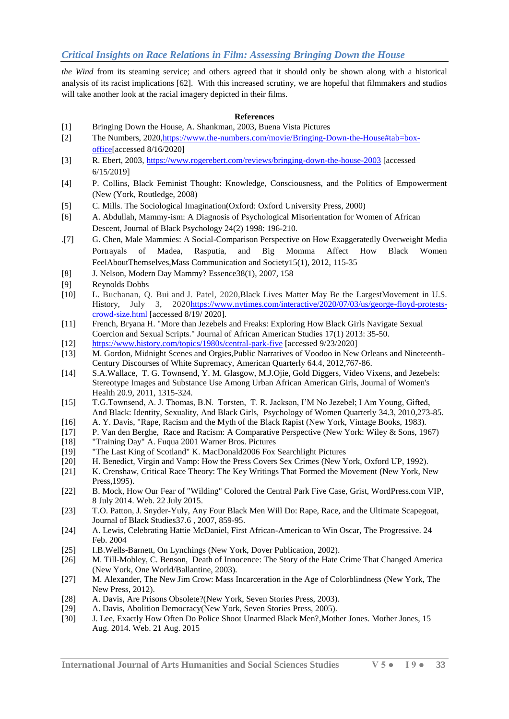*the Wind* from its steaming service; and others agreed that it should only be shown along with a historical analysis of its racist implications [62]. With this increased scrutiny, we are hopeful that filmmakers and studios will take another look at the racial imagery depicted in their films.

### **References**

- [1] Bringing Down the House, A. Shankman, 2003, Buena Vista Pictures
- [2] The Numbers, 2020[,https://www.the-numbers.com/movie/Bringing-Down-the-House#tab=box](https://www.the-numbers.com/movie/Bringing-Down-the-House#tab=box-office)[office\[](https://www.the-numbers.com/movie/Bringing-Down-the-House#tab=box-office)accessed 8/16/2020]
- [3] R. Ebert, 2003,<https://www.rogerebert.com/reviews/bringing-down-the-house-2003> [accessed 6/15/2019]
- [4] P. Collins, Black Feminist Thought: Knowledge, Consciousness, and the Politics of Empowerment (New (York, Routledge, 2008)
- [5] C. Mills. The Sociological Imagination(Oxford: Oxford University Press, 2000)
- [6] A. Abdullah, Mammy-ism: A Diagnosis of Psychological Misorientation for Women of African Descent, Journal of Black Psychology 24(2) 1998: 196-210.
- .[7] G. Chen, Male Mammies: A Social-Comparison Perspective on How Exaggeratedly Overweight Media Portrayals of Madea, Rasputia, and Big Momma Affect How Black Women FeelAboutThemselves,Mass Communication and Society15(1), 2012, 115-35
- [8] J. Nelson, Modern Day Mammy? Essence38(1), 2007, 158
- [9] Reynolds Dobbs
- [10] L. [Buchanan,](https://www.nytimes.com/by/larry-buchanan) Q. Bui and J. [Patel,](https://www.nytimes.com/by/jugal-k-patel) 2020,Black Lives Matter May Be the LargestMovement in U.S. History, July 3, 202[0https://www.nytimes.com/interactive/2020/07/03/us/george-floyd-protests](https://www.nytimes.com/interactive/2020/07/03/us/george-floyd-protests-crowd-size.html)[crowd-size.html](https://www.nytimes.com/interactive/2020/07/03/us/george-floyd-protests-crowd-size.html) [accessed 8/19/ 2020].
- [11] French, Bryana H. "More than Jezebels and Freaks: Exploring How Black Girls Navigate Sexual Coercion and Sexual Scripts." Journal of African American Studies 17(1) 2013: 35-50.
- [12] <https://www.history.com/topics/1980s/central-park-five> [accessed 9/23/2020]
- [13] M. Gordon, Midnight Scenes and Orgies,Public Narratives of Voodoo in New Orleans and Nineteenth-Century Discourses of White Supremacy, American Quarterly 64.4, 2012,767-86.
- [14] S.A.Wallace, T. G. Townsend, Y. M. Glasgow, M.J.Ojie, Gold Diggers, Video Vixens, and Jezebels: Stereotype Images and Substance Use Among Urban African American Girls, Journal of Women's Health 20.9, 2011, 1315-324.
- [15] T.G.Townsend, A. J. Thomas, B.N. Torsten, T. R. Jackson, I"M No Jezebel; I Am Young, Gifted, And Black: Identity, Sexuality, And Black Girls, Psychology of Women Quarterly 34.3, 2010,273-85.
- [16] A. Y. Davis, "Rape, Racism and the Myth of the Black Rapist (New York, Vintage Books, 1983).
- [17] P. Van den Berghe, Race and Racism: A Comparative Perspective (New York: Wiley & Sons, 1967)
- [18] "Training Day" A. Fuqua 2001 Warner Bros. Pictures
- [19] "The Last King of Scotland" K. MacDonald2006 Fox Searchlight Pictures
- [20] H. Benedict, Virgin and Vamp: How the Press Covers Sex Crimes (New York, Oxford UP, 1992).
- [21] K. Crenshaw, Critical Race Theory: The Key Writings That Formed the Movement (New York, New Press,1995).
- [22] B. Mock, How Our Fear of "Wilding" Colored the Central Park Five Case, Grist, WordPress.com VIP, 8 July 2014. Web. 22 July 2015.
- [23] T.O. Patton, J. Snyder-Yuly, Any Four Black Men Will Do: Rape, Race, and the Ultimate Scapegoat, Journal of Black Studies37.6 , 2007, 859-95.
- [24] A. Lewis, Celebrating Hattie McDaniel, First African-American to Win Oscar, The Progressive. 24 Feb. 2004
- [25] I.B.Wells-Barnett, On Lynchings (New York, Dover Publication, 2002).
- [26] M. Till-Mobley, C. Benson, Death of Innocence: The Story of the Hate Crime That Changed America (New York, One World/Ballantine, 2003).
- [27] M. Alexander, The New Jim Crow: Mass Incarceration in the Age of Colorblindness (New York, The New Press, 2012).
- [28] A. Davis, Are Prisons Obsolete?(New York, Seven Stories Press, 2003).
- [29] A. Davis, Abolition Democracy(New York, Seven Stories Press, 2005).
- [30] J. Lee, Exactly How Often Do Police Shoot Unarmed Black Men?,Mother Jones. Mother Jones, 15 Aug. 2014. Web. 21 Aug. 2015